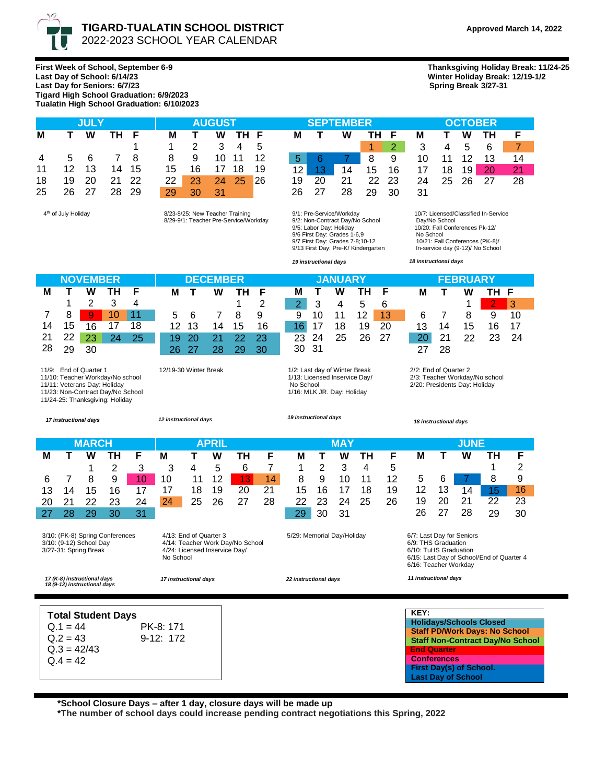

**Last Day of School: 6/14/23 Winter Holiday Break: 12/19-1/2**

**First Week of School, September 6-9 Thanksgiving Holiday Break: 11/24-25** Last Day for Seniors: 6/7/23 **Tigard High School Graduation: 6/9/2023 Tualatin High School Graduation: 6/10/2023**

|    |       | <b>JULY</b> |                |       |                 | <b>AUGUST</b> |         |          |                 |       | <b>SEPTEMBER</b> |              |               |          |
|----|-------|-------------|----------------|-------|-----------------|---------------|---------|----------|-----------------|-------|------------------|--------------|---------------|----------|
| М  |       | W           | TH F           |       | М               | $\mathbf{T}$  | W       | TH F     |                 | M T   | W                | TH F         |               | M        |
|    |       |             |                |       |                 |               | 2 3 4 5 |          |                 |       |                  | $\mathbf{1}$ | $\mathcal{P}$ | 3        |
|    |       |             | 4 5 6 7 8      |       | 89              |               |         | 10 11 12 | 5 <sup>1</sup>  |       | 67               | 8            | 9             | 10       |
| 11 | 12 13 |             |                | 14 15 | 15 16 17 18 19  |               |         |          | 12 <sub>1</sub> | 13    | 14               | 15 16        |               | - 17     |
| 18 | 19 20 |             | 21 22          |       | 22 <sub>1</sub> | 23 24 25 26   |         |          |                 | 19 20 | 21               | 22 23        |               | -24      |
|    |       |             | 25 26 27 28 29 |       | 29              | $\sim$ 30     | 31      |          |                 | 26 27 | 28               |              |               | 29 30 31 |

4<sup>th</sup> of July Holiday

th of July Holiday 8/23-8/25: New Teacher Training 8/29-9/1: Teacher Pre-Service/Workday

|    |            | <b>JULY</b> |       |                |                 | <b>Example 18 AUGUST</b> |             |     |                 | <b>SEPTEMBER</b> |     |             |  |                                |             | <b>OCTOBER</b> |  |      |  |  |
|----|------------|-------------|-------|----------------|-----------------|--------------------------|-------------|-----|-----------------|------------------|-----|-------------|--|--------------------------------|-------------|----------------|--|------|--|--|
| М  |            | T W         | TH F  |                | м               | T W THF                  |             |     |                 | M T              | W   | TH F        |  | М                              | T W TH      |                |  |      |  |  |
|    |            |             |       | $\overline{1}$ |                 | 1 2 3 4 5                |             |     |                 |                  |     | $1 \quad 2$ |  | 3 4 5 6 7                      |             |                |  |      |  |  |
|    | 4 5 6 7 8  |             |       |                |                 | 8 9 10 11 12             |             |     |                 |                  | 567 | 89          |  | 10 11 12 13                    |             |                |  | - 14 |  |  |
|    | 11  12  13 |             | 14 15 |                |                 | 15 16 17 18              |             | -19 | 12 <sup>1</sup> | $-13$            |     |             |  | 14  15  16  17  18  19  20  21 |             |                |  |      |  |  |
|    | 18 19 20   |             | 21 22 |                | 22 <sub>1</sub> | - 23                     | 24 25       | 26  |                 | 19 20            | -21 | 22 23       |  |                                | 24 25 26 27 |                |  | -28  |  |  |
| 25 | 26 27      |             | 28 29 |                | 29              | 30                       | $\sqrt{31}$ |     |                 | 26 27            | 28  | 29 30       |  | - 31                           |             |                |  |      |  |  |

9/1: Pre-Service/Workday 9/2: Non-Contract Day/No School 9/5: Labor Day: Holiday<br>9/6 First Day: Grades 1-6,9<br>9/7 First Day: Grades 7-8;10-12<br>9/13 First Day: Pre-K/ Kindergarten  10/7: Licensed/Classified In-Service Day/No School In-service day (9-12)/ No School

*19 instructional days*

 10/20: Fall Conferences Pk-12/ No School 10/21: Fall Conferences (PK-8)/ *18 instructional days*

|    |    | <b>NOVEMBER</b> |    |    | <b>DECEMBER</b> |    |    |    |     |  | <b>JANUARY</b> |     |    |    |    |    | <b>FEBRUARY</b> |    |    |     |  |  |
|----|----|-----------------|----|----|-----------------|----|----|----|-----|--|----------------|-----|----|----|----|----|-----------------|----|----|-----|--|--|
| М  |    | W               |    |    | M               |    | w  |    |     |  | М              |     | W  | тн |    | M  |                 | w  | тн |     |  |  |
|    |    |                 |    | 4  |                 |    |    |    | ◠   |  |                | າ   | 4  | G  | 6  |    |                 |    |    | - 2 |  |  |
|    | 8  | 9               | 10 |    | 5               | 6  |    | 8  | 9   |  | 9              | 10  | 11 | 12 | 13 |    |                 |    | 9  | 10  |  |  |
| 14 | 15 | 16              |    | 18 | 12              | 13 | 14 | 15 | 16  |  |                |     | 18 | 19 | 20 | 13 | 14              | 15 | 16 | 17  |  |  |
| 21 | 22 | 23              |    | 25 |                 |    |    | つつ | -23 |  | 23             | 24  | 25 | 26 |    | 20 | 21              | つつ | ົ  | 24  |  |  |
| 28 | 29 | 30              |    |    |                 |    |    |    | 30  |  | 30             | -31 |    |    |    | 27 | 28              |    |    |     |  |  |

 11/9: End of Quarter 1 11/10: Teacher Workday/No school 12/19-30 Winter Break

11/11: Veterans Day: Holiday 11/23: Non-Contract Day/No School

11/24-25: Thanksgiving: Holiday

*17 instructional days*

 $Q.4 = 42$ 

 *12 instructional days*

1/2: Last day of Winter Break 1/13: Licensed Inservice Day/ No School 1/16: MLK JR. Day: Holiday

## *19 instructional days*

 *18 instructional days*

**First Day(s) of School. Last Day of School**

 2/2: End of Quarter 2 2/3: Teacher Workday/No school 2/20: Presidents Day: Holiday

| <b>MARCH</b><br><b>APRIL</b>                                                                                                                                                                                                                            |                                                                                                                         |    |    |    |    |    |                                                     |    |    | <b>MAY</b> | <b>JUNE</b>  |    |    |    |                                                                                                                                                                          |                                          |    |                                                                        |                                         |  |
|---------------------------------------------------------------------------------------------------------------------------------------------------------------------------------------------------------------------------------------------------------|-------------------------------------------------------------------------------------------------------------------------|----|----|----|----|----|-----------------------------------------------------|----|----|------------|--------------|----|----|----|--------------------------------------------------------------------------------------------------------------------------------------------------------------------------|------------------------------------------|----|------------------------------------------------------------------------|-----------------------------------------|--|
| М                                                                                                                                                                                                                                                       |                                                                                                                         | w  | ΤН | F  | M  |    | w                                                   | ΤН | F  | M          | $\mathbf{T}$ | W  | ΤН | F  | М                                                                                                                                                                        | L.                                       | W  | ΤН                                                                     | F                                       |  |
|                                                                                                                                                                                                                                                         |                                                                                                                         |    | 2  | 3  | 3  | 4  | 5                                                   | 6  |    |            | 2            | 3  | 4  | 5  |                                                                                                                                                                          |                                          |    |                                                                        | 2                                       |  |
| 6                                                                                                                                                                                                                                                       |                                                                                                                         | 8  | 9  | 10 | 10 | 11 | 12                                                  | 13 | 14 | 8          | 9            | 10 | 11 | 12 | 5                                                                                                                                                                        | 6                                        |    | 8                                                                      | 9                                       |  |
| 13                                                                                                                                                                                                                                                      | 14                                                                                                                      | 15 | 16 | 17 | 17 | 18 | 19                                                  | 20 | 21 | 15         | 16           | 17 | 18 | 19 | 12                                                                                                                                                                       | 13                                       | 14 | 15                                                                     | 16                                      |  |
| 20                                                                                                                                                                                                                                                      | 21                                                                                                                      | 22 | 23 | 24 | 24 | 25 | 26                                                  | 27 | 28 | 22         | 23           | 24 | 25 | 26 | 19                                                                                                                                                                       | 20                                       | 21 | 22                                                                     | 23                                      |  |
| 27                                                                                                                                                                                                                                                      | 28                                                                                                                      | 29 | 30 | 31 |    |    |                                                     |    |    | 29         | 30           | 31 |    |    | 26                                                                                                                                                                       | 27                                       | 28 | 29                                                                     | 30                                      |  |
| 4/13: End of Quarter 3<br>3/10: (PK-8) Spring Conferences<br>3/10: (9-12) School Day<br>4/14: Teacher Work Day/No School<br>4/24: Licensed Inservice Day/<br>3/27-31: Spring Break<br>No School<br>17 (K-8) instructional days<br>17 instructional days |                                                                                                                         |    |    |    |    |    | 5/29: Memorial Day/Holiday<br>22 instructional days |    |    |            |              |    |    |    | 6/7: Last Day for Seniors<br>6/9: THS Graduation<br>6/10: TuHS Graduation<br>6/15: Last Day of School/End of Quarter 4<br>6/16: Teacher Workday<br>11 instructional days |                                          |    |                                                                        |                                         |  |
| 18 (9-12) instructional days                                                                                                                                                                                                                            | <b>Total Student Days</b><br>$Q.1 = 44$<br>PK-8: 171<br>$Q.2 = 43$<br>$9-12:172$<br>$Q.3 = 42/43$<br>$\bigcap$ $A = A2$ |    |    |    |    |    |                                                     |    |    |            |              |    |    |    | KEY:                                                                                                                                                                     | <b>End Quarter</b><br><b>Conferences</b> |    | <b>Holidays/Schools Closed</b><br><b>Staff PD/Work Days: No School</b> | <b>Staff Non-Contract Day/No School</b> |  |

**\*School Closure Days – after 1 day, closure days will be made up**

**\*The number of school days could increase pending contract negotiations this Spring, 2022**